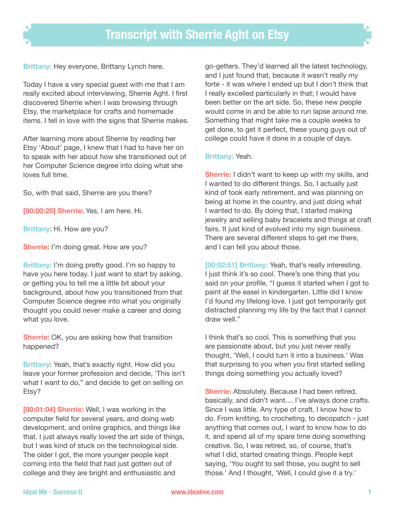**Brittany:** Hey everyone, Brittany Lynch here.

Today I have a very special guest with me that I am really excited about interviewing, Sherrie Aght. I first discovered Sherrie when I was browsing through Etsy, the marketplace for crafts and homemade items. I fell in love with the signs that Sherrie makes.

After learning more about Sherrie by reading her Etsy 'About' page, I knew that I had to have her on to speak with her about how she transitioned out of her Computer Science degree into doing what she loves full time.

So, with that said, Sherrie are you there?

**[00:00:25] Sherrie:** Yes, I am here. Hi.

**Brittany**: Hi. How are you?

**Sherrie:** I'm doing great. How are you?

**Brittany:** I'm doing pretty good. I'm so happy to have you here today. I just want to start by asking, or getting you to tell me a little bit about your background, about how you transitioned from that Computer Science degree into what you originally thought you could never make a career and doing what you love.

**Sherrie:** OK, you are asking how that transition happened?

**Brittany**: Yeah, that's exactly right. How did you leave your former profession and decide, 'This isn't what I want to do," and decide to get on selling on Etsy?

**[00:01:04] Sherrie:** Well, I was working in the computer ield for several years, and doing web development, and online graphics, and things like that. I just always really loved the art side of things, but I was kind of stuck on the technological side. The older I got, the more younger people kept coming into the field that had just gotten out of college and they are bright and enthusiastic and

go-getters. They'd learned all the latest technology, and I just found that, because it wasn't really my forte - it was where I ended up but I don't think that I really excelled particularly in that; I would have been better on the art side. So, these new people would come in and be able to run lapse around me. Something that might take me a couple weeks to get done, to get it perfect, these young guys out of college could have it done in a couple of days.

## **Brittany:** Yeah.

**Sherrie:** I didn't want to keep up with my skills, and I wanted to do different things. So, I actually just kind of took early retirement, and was planning on being at home in the country, and just doing what I wanted to do. By doing that, I started making jewelry and selling baby bracelets and things at craft fairs. It just kind of evolved into my sign business. There are several different steps to get me there, and I can tell you about those.

**[00:02:51] Brittany:** Yeah, that's really interesting. I just think it's so cool. There's one thing that you said on your profile, "I guess it started when I got to paint at the easel in kindergarten. Little did I know I'd found my lifelong love. I just got temporarily got distracted planning my life by the fact that I cannot draw well."

I think that's so cool. This is something that you are passionate about, but you just never really thought, 'Well, I could turn it into a business.' Was that surprising to you when you first started selling things doing something you actually loved?

**Sherrie:** Absolutely. Because I had been retired, basically, and didn't want.... I've always done crafts. Since I was little. Any type of craft, I know how to do. From knitting, to crocheting, to decopatch - just anything that comes out, I want to know how to do it, and spend all of my spare time doing something creative. So, I was retired, so, of course, that's what I did, started creating things. People kept saying, 'You ought to sell those, you ought to sell those.' And I thought, 'Well, I could give it a try.'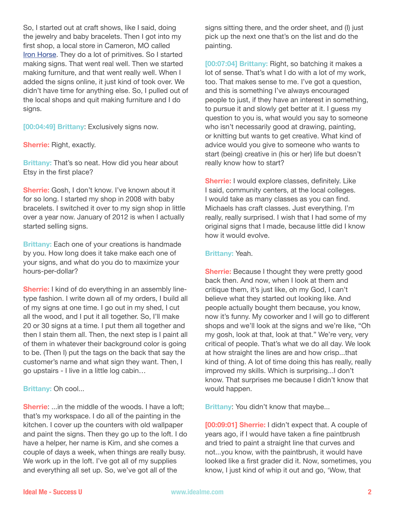So, I started out at craft shows, like I said, doing the jewelry and baby bracelets. Then I got into my first shop, a local store in Cameron, MO called [Iron Horse](https://www.facebook.com/IRonHorSePriMiTivEs). They do a lot of primitives. So I started making signs. That went real well. Then we started making furniture, and that went really well. When I added the signs online, it just kind of took over. We didn't have time for anything else. So, I pulled out of the local shops and quit making furniture and I do signs.

**[00:04:49] Brittany**: Exclusively signs now.

**Sherrie:** Right, exactly.

**Brittany:** That's so neat. How did you hear about Etsy in the first place?

**Sherrie:** Gosh, I don't know. I've known about it for so long. I started my shop in 2008 with baby bracelets. I switched it over to my sign shop in little over a year now. January of 2012 is when I actually started selling signs.

**Brittany:** Each one of your creations is handmade by you. How long does it take make each one of your signs, and what do you do to maximize your hours-per-dollar?

**Sherrie:** I kind of do everything in an assembly linetype fashion. I write down all of my orders, I build all of my signs at one time. I go out in my shed, I cut all the wood, and I put it all together. So, I'll make 20 or 30 signs at a time. I put them all together and then I stain them all. Then, the next step is I paint all of them in whatever their background color is going to be. (Then I) put the tags on the back that say the customer's name and what sign they want. Then, I go upstairs - I live in a little log cabin…

**Brittany:** Oh cool...

**Sherrie:** ...in the middle of the woods. I have a loft: that's my workspace. I do all of the painting in the kitchen. I cover up the counters with old wallpaper and paint the signs. Then they go up to the loft. I do have a helper, her name is Kim, and she comes a couple of days a week, when things are really busy. We work up in the loft. I've got all of my supplies and everything all set up. So, we've got all of the

signs sitting there, and the order sheet, and (I) just pick up the next one that's on the list and do the painting.

**[00:07:04] Brittany:** Right, so batching it makes a lot of sense. That's what I do with a lot of my work, too. That makes sense to me. I've got a question, and this is something I've always encouraged people to just, if they have an interest in something, to pursue it and slowly get better at it. I guess my question to you is, what would you say to someone who isn't necessarily good at drawing, painting, or knitting but wants to get creative. What kind of advice would you give to someone who wants to start (being) creative in (his or her) life but doesn't really know how to start?

**Sherrie:** I would explore classes, definitely. Like I said, community centers, at the local colleges. I would take as many classes as you can find. Michaels has craft classes. Just everything. I'm really, really surprised. I wish that I had some of my original signs that I made, because little did I know how it would evolve.

## **Brittany:** Yeah.

**Sherrie:** Because I thought they were pretty good back then. And now, when I look at them and critique them, it's just like, oh my God, I can't believe what they started out looking like. And people actually bought them because, you know, now it's funny. My coworker and I will go to different shops and we'll look at the signs and we're like, "Oh my gosh, look at that, look at that." We're very, very critical of people. That's what we do all day. We look at how straight the lines are and how crisp...that kind of thing. A lot of time doing this has really, really improved my skills. Which is surprising...I don't know. That surprises me because I didn't know that would happen.

**Brittany:** You didn't know that maybe...

**[00:09:01] Sherrie:** I didn't expect that. A couple of years ago, if I would have taken a fine paintbrush and tried to paint a straight line that curves and not...you know, with the paintbrush, it would have looked like a first grader did it. Now, sometimes, you know, I just kind of whip it out and go, 'Wow, that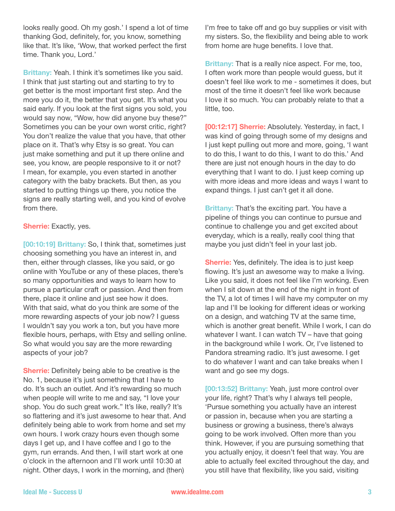looks really good. Oh my gosh.' I spend a lot of time thanking God, definitely, for, you know, something like that. It's like, 'Wow, that worked perfect the first time. Thank you, Lord.'

**Brittany:** Yeah. I think it's sometimes like you said. I think that just starting out and starting to try to get better is the most important first step. And the more you do it, the better that you get. It's what you said early. If you look at the first signs you sold, you would say now, "Wow, how did anyone buy these?" Sometimes you can be your own worst critic, right? You don't realize the value that you have, that other place on it. That's why Etsy is so great. You can just make something and put it up there online and see, you know, are people responsive to it or not? I mean, for example, you even started in another category with the baby brackets. But then, as you started to putting things up there, you notice the signs are really starting well, and you kind of evolve from there.

**Sherrie:** Exactly, yes.

**[00:10:19] Brittany:** So, I think that, sometimes just choosing something you have an interest in, and then, either through classes, like you said, or go online with YouTube or any of these places, there's so many opportunities and ways to learn how to pursue a particular craft or passion. And then from there, place it online and just see how it does. With that said, what do you think are some of the more rewarding aspects of your job now? I guess I wouldn't say you work a ton, but you have more flexible hours, perhaps, with Etsy and selling online. So what would you say are the more rewarding aspects of your job?

**Sherrie:** Definitely being able to be creative is the No. 1, because it's just something that I have to do. It's such an outlet. And it's rewarding so much when people will write to me and say, "I love your shop. You do such great work." It's like, really? It's so flattering and it's just awesome to hear that. And definitely being able to work from home and set my own hours. I work crazy hours even though some days I get up, and I have coffee and I go to the gym, run errands. And then, I will start work at one o'clock in the afternoon and I'll work until 10:30 at night. Other days, I work in the morning, and (then)

I'm free to take off and go buy supplies or visit with my sisters. So, the flexibility and being able to work from home are huge benefits. I love that.

**Brittany:** That is a really nice aspect. For me, too, I often work more than people would guess, but it doesn't feel like work to me - sometimes it does, but most of the time it doesn't feel like work because I love it so much. You can probably relate to that a little, too.

**[00:12:17] Sherrie:** Absolutely. Yesterday, in fact, I was kind of going through some of my designs and I just kept pulling out more and more, going, 'I want to do this, I want to do this, I want to do this.' And there are just not enough hours in the day to do everything that I want to do. I just keep coming up with more ideas and more ideas and ways I want to expand things. I just can't get it all done.

**Brittany:** That's the exciting part. You have a pipeline of things you can continue to pursue and continue to challenge you and get excited about everyday, which is a really, really cool thing that maybe you just didn't feel in your last job.

**Sherrie:** Yes, definitely. The idea is to just keep flowing. It's just an awesome way to make a living. Like you said, it does not feel like I'm working. Even when I sit down at the end of the night in front of the TV, a lot of times I will have my computer on my lap and I'll be looking for different ideas or working on a design, and watching TV at the same time, which is another great benefit. While I work, I can do whatever I want. I can watch TV – have that going in the background while I work. Or, I've listened to Pandora streaming radio. It's just awesome. I get to do whatever I want and can take breaks when I want and go see my dogs.

**[00:13:52] Brittany:** Yeah, just more control over your life, right? That's why I always tell people, 'Pursue something you actually have an interest or passion in, because when you are starting a business or growing a business, there's always going to be work involved. Often more than you think. However, if you are pursuing something that you actually enjoy, it doesn't feel that way. You are able to actually feel excited throughout the day, and you still have that flexibility, like you said, visiting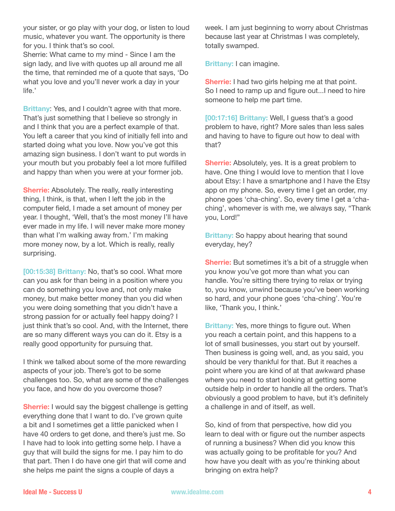your sister, or go play with your dog, or listen to loud music, whatever you want. The opportunity is there for you. I think that's so cool.

Sherrie: What came to my mind - Since I am the sign lady, and live with quotes up all around me all the time, that reminded me of a quote that says, 'Do what you love and you'll never work a day in your life.'

**Brittany**: Yes, and I couldn't agree with that more. That's just something that I believe so strongly in and I think that you are a perfect example of that. You left a career that you kind of initially fell into and started doing what you love. Now you've got this amazing sign business. I don't want to put words in your mouth but you probably feel a lot more fulilled and happy than when you were at your former job.

**Sherrie:** Absolutely. The really, really interesting thing, I think, is that, when I left the job in the computer ield, I made a set amount of money per year. I thought, 'Well, that's the most money I'll have ever made in my life. I will never make more money than what I'm walking away from.' I'm making more money now, by a lot. Which is really, really surprising.

**[00:15:38] Brittany:** No, that's so cool. What more can you ask for than being in a position where you can do something you love and, not only make money, but make better money than you did when you were doing something that you didn't have a strong passion for or actually feel happy doing? I just think that's so cool. And, with the Internet, there are so many different ways you can do it. Etsy is a really good opportunity for pursuing that.

I think we talked about some of the more rewarding aspects of your job. There's got to be some challenges too. So, what are some of the challenges you face, and how do you overcome those?

**Sherrie:** I would say the biggest challenge is getting everything done that I want to do. I've grown quite a bit and I sometimes get a little panicked when I have 40 orders to get done, and there's just me. So I have had to look into getting some help. I have a guy that will build the signs for me. I pay him to do that part. Then I do have one girl that will come and she helps me paint the signs a couple of days a

week. I am just beginning to worry about Christmas because last year at Christmas I was completely, totally swamped.

**Brittany:** I can imagine.

**Sherrie:** I had two girls helping me at that point. So I need to ramp up and figure out...I need to hire someone to help me part time.

**[00:17:16] Brittany:** Well, I guess that's a good problem to have, right? More sales than less sales and having to have to figure out how to deal with that?

**Sherrie:** Absolutely, yes. It is a great problem to have. One thing I would love to mention that I love about Etsy: I have a smartphone and I have the Etsy app on my phone. So, every time I get an order, my phone goes 'cha-ching'. So, every time I get a 'chaching', whomever is with me, we always say, "Thank you, Lord!"

**Brittany:** So happy about hearing that sound everyday, hey?

**Sherrie:** But sometimes it's a bit of a struggle when you know you've got more than what you can handle. You're sitting there trying to relax or trying to, you know, unwind because you've been working so hard, and your phone goes 'cha-ching'. You're like, 'Thank you, I think.'

**Brittany:** Yes, more things to figure out. When you reach a certain point, and this happens to a lot of small businesses, you start out by yourself. Then business is going well, and, as you said, you should be very thankful for that. But it reaches a point where you are kind of at that awkward phase where you need to start looking at getting some outside help in order to handle all the orders. That's obviously a good problem to have, but it's definitely a challenge in and of itself, as well.

So, kind of from that perspective, how did you learn to deal with or figure out the number aspects of running a business? When did you know this was actually going to be profitable for you? And how have you dealt with as you're thinking about bringing on extra help?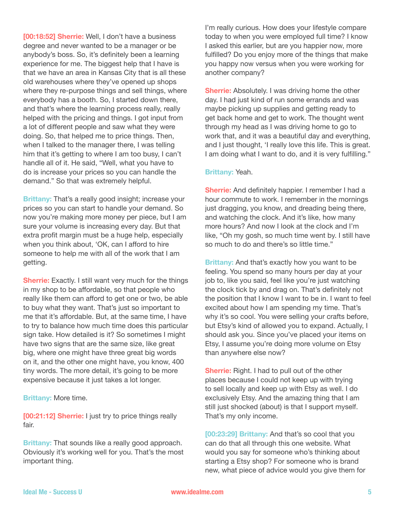**[00:18:52] Sherrie:** Well, I don't have a business degree and never wanted to be a manager or be anybody's boss. So, it's definitely been a learning experience for me. The biggest help that I have is that we have an area in Kansas City that is all these old warehouses where they've opened up shops where they re-purpose things and sell things, where everybody has a booth. So, I started down there, and that's where the learning process really, really helped with the pricing and things. I got input from a lot of different people and saw what they were doing. So, that helped me to price things. Then, when I talked to the manager there, I was telling him that it's getting to where I am too busy, I can't handle all of it. He said, "Well, what you have to do is increase your prices so you can handle the demand." So that was extremely helpful.

**Brittany:** That's a really good insight; increase your prices so you can start to handle your demand. So now you're making more money per piece, but I am sure your volume is increasing every day. But that extra profit margin must be a huge help, especially when you think about, 'OK, can I afford to hire someone to help me with all of the work that I am getting.

**Sherrie:** Exactly. I still want very much for the things in my shop to be affordable, so that people who really like them can afford to get one or two, be able to buy what they want. That's just so important to me that it's affordable. But, at the same time, I have to try to balance how much time does this particular sign take. How detailed is it? So sometimes I might have two signs that are the same size, like great big, where one might have three great big words on it, and the other one might have, you know, 400 tiny words. The more detail, it's going to be more expensive because it just takes a lot longer.

**Brittany:** More time.

**[00:21:12] Sherrie:** I just try to price things really fair.

**Brittany:** That sounds like a really good approach. Obviously it's working well for you. That's the most important thing.

I'm really curious. How does your lifestyle compare today to when you were employed full time? I know I asked this earlier, but are you happier now, more fulfilled? Do you enjoy more of the things that make you happy now versus when you were working for another company?

**Sherrie:** Absolutely. I was driving home the other day. I had just kind of run some errands and was maybe picking up supplies and getting ready to get back home and get to work. The thought went through my head as I was driving home to go to work that, and it was a beautiful day and everything, and I just thought, 'I really love this life. This is great. I am doing what I want to do, and it is very fulfilling."

## **Brittany:** Yeah.

**Sherrie:** And definitely happier. I remember I had a hour commute to work. I remember in the mornings just dragging, you know, and dreading being there, and watching the clock. And it's like, how many more hours? And now I look at the clock and I'm like, "Oh my gosh, so much time went by. I still have so much to do and there's so little time."

**Brittany:** And that's exactly how you want to be feeling. You spend so many hours per day at your job to, like you said, feel like you're just watching the clock tick by and drag on. That's definitely not the position that I know I want to be in. I want to feel excited about how I am spending my time. That's why it's so cool. You were selling your crafts before, but Etsy's kind of allowed you to expand. Actually, I should ask you. Since you've placed your items on Etsy, I assume you're doing more volume on Etsy than anywhere else now?

**Sherrie:** Right. I had to pull out of the other places because I could not keep up with trying to sell locally and keep up with Etsy as well. I do exclusively Etsy. And the amazing thing that I am still just shocked (about) is that I support myself. That's my only income.

**[00:23:29] Brittany:** And that's so cool that you can do that all through this one website. What would you say for someone who's thinking about starting a Etsy shop? For someone who is brand new, what piece of advice would you give them for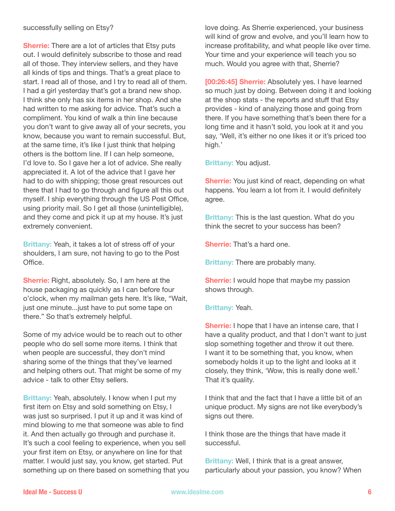## successfully selling on Etsy?

**Sherrie:** There are a lot of articles that Etsy puts out. I would definitely subscribe to those and read all of those. They interview sellers, and they have all kinds of tips and things. That's a great place to start. I read all of those, and I try to read all of them. I had a girl yesterday that's got a brand new shop. I think she only has six items in her shop. And she had written to me asking for advice. That's such a compliment. You kind of walk a thin line because you don't want to give away all of your secrets, you know, because you want to remain successful. But, at the same time, it's like I just think that helping others is the bottom line. If I can help someone, I'd love to. So I gave her a lot of advice. She really appreciated it. A lot of the advice that I gave her had to do with shipping; those great resources out there that I had to go through and igure all this out myself. I ship everything through the US Post Ofice, using priority mail. So I get all those (unintelligible), and they come and pick it up at my house. It's just extremely convenient.

**Brittany:** Yeah, it takes a lot of stress off of your shoulders, I am sure, not having to go to the Post Office.

**Sherrie:** Right, absolutely. So, I am here at the house packaging as quickly as I can before four o'clock, when my mailman gets here. It's like, "Wait, just one minute...just have to put some tape on there." So that's extremely helpful.

Some of my advice would be to reach out to other people who do sell some more items. I think that when people are successful, they don't mind sharing some of the things that they've learned and helping others out. That might be some of my advice - talk to other Etsy sellers.

**Brittany:** Yeah, absolutely. I know when I put my first item on Etsy and sold something on Etsy, I was just so surprised. I put it up and it was kind of mind blowing to me that someone was able to find it. And then actually go through and purchase it. It's such a cool feeling to experience, when you sell your first item on Etsy, or anywhere on line for that matter. I would just say, you know, get started. Put something up on there based on something that you love doing. As Sherrie experienced, your business will kind of grow and evolve, and you'll learn how to increase profitability, and what people like over time. Your time and your experience will teach you so much. Would you agree with that, Sherrie?

**[00:26:45] Sherrie:** Absolutely yes. I have learned so much just by doing. Between doing it and looking at the shop stats - the reports and stuff that Etsy provides - kind of analyzing those and going from there. If you have something that's been there for a long time and it hasn't sold, you look at it and you say, 'Well, it's either no one likes it or it's priced too high.'

**Brittany:** You adjust.

**Sherrie:** You just kind of react, depending on what happens. You learn a lot from it. I would definitely agree.

**Brittany:** This is the last question. What do you think the secret to your success has been?

**Sherrie:** That's a hard one.

**Brittany:** There are probably many.

**Sherrie:** I would hope that maybe my passion shows through.

**Brittany:** Yeah.

**Sherrie:** I hope that I have an intense care, that I have a quality product, and that I don't want to just slop something together and throw it out there. I want it to be something that, you know, when somebody holds it up to the light and looks at it closely, they think, 'Wow, this is really done well.' That it's quality.

I think that and the fact that I have a little bit of an unique product. My signs are not like everybody's signs out there.

I think those are the things that have made it successful.

**Brittany:** Well, I think that is a great answer, particularly about your passion, you know? When